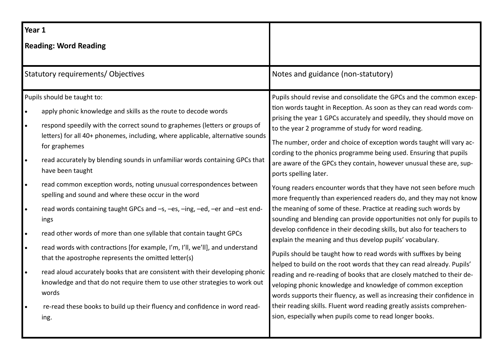| Year 1                                                                                                                                                                                                                                                                                                                                                                                                                                                                                                                                                                                                                                                                                                                                                                                                                                                                                                                                                                                                                                                                                                                                                                                           |                                                                                                                                                                                                                                                                                                                                                                                                                                                                                                                                                                                                                                                                                                                                                                                                                                                                                                                                                                                                                                                                                                                                                                                                                                                                                                                                                                                                                                                       |
|--------------------------------------------------------------------------------------------------------------------------------------------------------------------------------------------------------------------------------------------------------------------------------------------------------------------------------------------------------------------------------------------------------------------------------------------------------------------------------------------------------------------------------------------------------------------------------------------------------------------------------------------------------------------------------------------------------------------------------------------------------------------------------------------------------------------------------------------------------------------------------------------------------------------------------------------------------------------------------------------------------------------------------------------------------------------------------------------------------------------------------------------------------------------------------------------------|-------------------------------------------------------------------------------------------------------------------------------------------------------------------------------------------------------------------------------------------------------------------------------------------------------------------------------------------------------------------------------------------------------------------------------------------------------------------------------------------------------------------------------------------------------------------------------------------------------------------------------------------------------------------------------------------------------------------------------------------------------------------------------------------------------------------------------------------------------------------------------------------------------------------------------------------------------------------------------------------------------------------------------------------------------------------------------------------------------------------------------------------------------------------------------------------------------------------------------------------------------------------------------------------------------------------------------------------------------------------------------------------------------------------------------------------------------|
| <b>Reading: Word Reading</b>                                                                                                                                                                                                                                                                                                                                                                                                                                                                                                                                                                                                                                                                                                                                                                                                                                                                                                                                                                                                                                                                                                                                                                     |                                                                                                                                                                                                                                                                                                                                                                                                                                                                                                                                                                                                                                                                                                                                                                                                                                                                                                                                                                                                                                                                                                                                                                                                                                                                                                                                                                                                                                                       |
| <b>Statutory requirements/ Objectives</b>                                                                                                                                                                                                                                                                                                                                                                                                                                                                                                                                                                                                                                                                                                                                                                                                                                                                                                                                                                                                                                                                                                                                                        | Notes and guidance (non-statutory)                                                                                                                                                                                                                                                                                                                                                                                                                                                                                                                                                                                                                                                                                                                                                                                                                                                                                                                                                                                                                                                                                                                                                                                                                                                                                                                                                                                                                    |
| Pupils should be taught to:<br>apply phonic knowledge and skills as the route to decode words<br>$\bullet$<br>respond speedily with the correct sound to graphemes (letters or groups of<br>$\bullet$<br>letters) for all 40+ phonemes, including, where applicable, alternative sounds<br>for graphemes<br>read accurately by blending sounds in unfamiliar words containing GPCs that<br>$\bullet$<br>have been taught<br>read common exception words, noting unusual correspondences between<br>$\bullet$<br>spelling and sound and where these occur in the word<br>read words containing taught GPCs and -s, -es, -ing, -ed, -er and -est end-<br>$\bullet$<br>ings<br>read other words of more than one syllable that contain taught GPCs<br>$\bullet$<br>read words with contractions [for example, I'm, I'll, we'll], and understand<br>$\bullet$<br>that the apostrophe represents the omitted letter(s)<br>read aloud accurately books that are consistent with their developing phonic<br>$\bullet$<br>knowledge and that do not require them to use other strategies to work out<br>words<br>re-read these books to build up their fluency and confidence in word read-<br>$\bullet$ | Pupils should revise and consolidate the GPCs and the common excep-<br>tion words taught in Reception. As soon as they can read words com-<br>prising the year 1 GPCs accurately and speedily, they should move on<br>to the year 2 programme of study for word reading.<br>The number, order and choice of exception words taught will vary ac-<br>cording to the phonics programme being used. Ensuring that pupils<br>are aware of the GPCs they contain, however unusual these are, sup-<br>ports spelling later.<br>Young readers encounter words that they have not seen before much<br>more frequently than experienced readers do, and they may not know<br>the meaning of some of these. Practice at reading such words by<br>sounding and blending can provide opportunities not only for pupils to<br>develop confidence in their decoding skills, but also for teachers to<br>explain the meaning and thus develop pupils' vocabulary.<br>Pupils should be taught how to read words with suffixes by being<br>helped to build on the root words that they can read already. Pupils'<br>reading and re-reading of books that are closely matched to their de-<br>veloping phonic knowledge and knowledge of common exception<br>words supports their fluency, as well as increasing their confidence in<br>their reading skills. Fluent word reading greatly assists comprehen-<br>sion, especially when pupils come to read longer books. |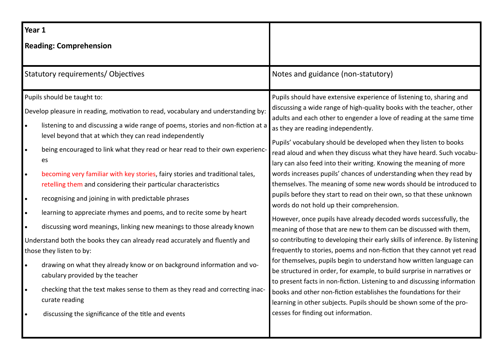| Year 1                                                        |                                                                                                                                                                                                                                                                                                                                                                                                                                                                                                                                                                                                                                                                                                                                                                                                                                                                                                      |                                                                                                                                                                                                                                                                                                                                                                                                                                                                                                                                                                                                                                                                                                                                                                                                                                                                                                                                                                                                                                                                                                                                                                                                   |
|---------------------------------------------------------------|------------------------------------------------------------------------------------------------------------------------------------------------------------------------------------------------------------------------------------------------------------------------------------------------------------------------------------------------------------------------------------------------------------------------------------------------------------------------------------------------------------------------------------------------------------------------------------------------------------------------------------------------------------------------------------------------------------------------------------------------------------------------------------------------------------------------------------------------------------------------------------------------------|---------------------------------------------------------------------------------------------------------------------------------------------------------------------------------------------------------------------------------------------------------------------------------------------------------------------------------------------------------------------------------------------------------------------------------------------------------------------------------------------------------------------------------------------------------------------------------------------------------------------------------------------------------------------------------------------------------------------------------------------------------------------------------------------------------------------------------------------------------------------------------------------------------------------------------------------------------------------------------------------------------------------------------------------------------------------------------------------------------------------------------------------------------------------------------------------------|
|                                                               | <b>Reading: Comprehension</b>                                                                                                                                                                                                                                                                                                                                                                                                                                                                                                                                                                                                                                                                                                                                                                                                                                                                        |                                                                                                                                                                                                                                                                                                                                                                                                                                                                                                                                                                                                                                                                                                                                                                                                                                                                                                                                                                                                                                                                                                                                                                                                   |
|                                                               | Statutory requirements/ Objectives                                                                                                                                                                                                                                                                                                                                                                                                                                                                                                                                                                                                                                                                                                                                                                                                                                                                   | Notes and guidance (non-statutory)                                                                                                                                                                                                                                                                                                                                                                                                                                                                                                                                                                                                                                                                                                                                                                                                                                                                                                                                                                                                                                                                                                                                                                |
| $\bullet$<br>$\bullet$<br>$\bullet$<br>$\bullet$<br>$\bullet$ | Pupils should be taught to:<br>Develop pleasure in reading, motivation to read, vocabulary and understanding by:<br>listening to and discussing a wide range of poems, stories and non-fiction at a<br>level beyond that at which they can read independently<br>being encouraged to link what they read or hear read to their own experienc-<br>es<br>becoming very familiar with key stories, fairy stories and traditional tales,<br>retelling them and considering their particular characteristics<br>recognising and joining in with predictable phrases<br>learning to appreciate rhymes and poems, and to recite some by heart<br>discussing word meanings, linking new meanings to those already known<br>Understand both the books they can already read accurately and fluently and<br>those they listen to by:<br>drawing on what they already know or on background information and vo- | Pupils should have extensive experience of listening to, sharing and<br>discussing a wide range of high-quality books with the teacher, other<br>adults and each other to engender a love of reading at the same time<br>as they are reading independently.<br>Pupils' vocabulary should be developed when they listen to books<br>read aloud and when they discuss what they have heard. Such vocabu-<br>lary can also feed into their writing. Knowing the meaning of more<br>words increases pupils' chances of understanding when they read by<br>themselves. The meaning of some new words should be introduced to<br>pupils before they start to read on their own, so that these unknown<br>words do not hold up their comprehension.<br>However, once pupils have already decoded words successfully, the<br>meaning of those that are new to them can be discussed with them,<br>so contributing to developing their early skills of inference. By listening<br>frequently to stories, poems and non-fiction that they cannot yet read<br>for themselves, pupils begin to understand how written language can<br>be structured in order, for example, to build surprise in narratives or |
| $\bullet$                                                     | cabulary provided by the teacher<br>checking that the text makes sense to them as they read and correcting inac-<br>curate reading<br>discussing the significance of the title and events                                                                                                                                                                                                                                                                                                                                                                                                                                                                                                                                                                                                                                                                                                            | to present facts in non-fiction. Listening to and discussing information<br>books and other non-fiction establishes the foundations for their<br>learning in other subjects. Pupils should be shown some of the pro-<br>cesses for finding out information.                                                                                                                                                                                                                                                                                                                                                                                                                                                                                                                                                                                                                                                                                                                                                                                                                                                                                                                                       |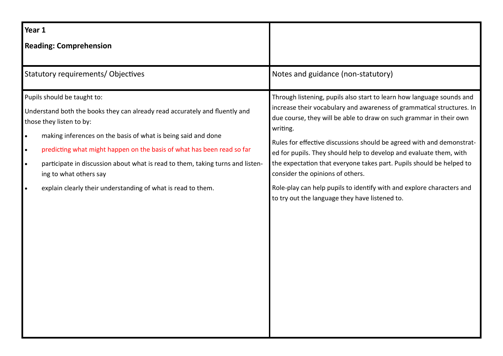| Year 1                                                                                                                                                                                                                                                                                                                                                                                                                                                                                               |                                                                                                                                                                                                                                                                                                                                                                                                                                                                                                                                                                                                                        |
|------------------------------------------------------------------------------------------------------------------------------------------------------------------------------------------------------------------------------------------------------------------------------------------------------------------------------------------------------------------------------------------------------------------------------------------------------------------------------------------------------|------------------------------------------------------------------------------------------------------------------------------------------------------------------------------------------------------------------------------------------------------------------------------------------------------------------------------------------------------------------------------------------------------------------------------------------------------------------------------------------------------------------------------------------------------------------------------------------------------------------------|
| <b>Reading: Comprehension</b>                                                                                                                                                                                                                                                                                                                                                                                                                                                                        |                                                                                                                                                                                                                                                                                                                                                                                                                                                                                                                                                                                                                        |
| Statutory requirements/ Objectives                                                                                                                                                                                                                                                                                                                                                                                                                                                                   | Notes and guidance (non-statutory)                                                                                                                                                                                                                                                                                                                                                                                                                                                                                                                                                                                     |
| Pupils should be taught to:<br>Understand both the books they can already read accurately and fluently and<br>those they listen to by:<br>making inferences on the basis of what is being said and done<br>$\bullet$<br>predicting what might happen on the basis of what has been read so far<br>$\bullet$<br>participate in discussion about what is read to them, taking turns and listen-<br>$\bullet$<br>ing to what others say<br>explain clearly their understanding of what is read to them. | Through listening, pupils also start to learn how language sounds and<br>increase their vocabulary and awareness of grammatical structures. In<br>due course, they will be able to draw on such grammar in their own<br>writing.<br>Rules for effective discussions should be agreed with and demonstrat-<br>ed for pupils. They should help to develop and evaluate them, with<br>the expectation that everyone takes part. Pupils should be helped to<br>consider the opinions of others.<br>Role-play can help pupils to identify with and explore characters and<br>to try out the language they have listened to. |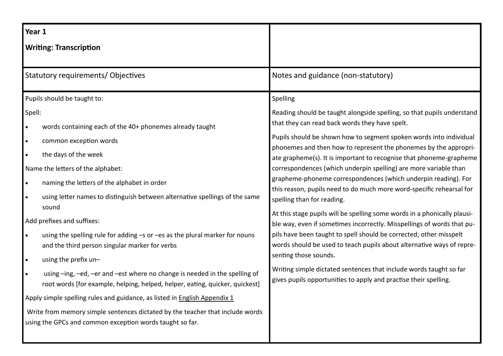| Year 1                 |                                                                                                                                                                                                                        |                                                                                                                                                                                                                                                                                                                            |
|------------------------|------------------------------------------------------------------------------------------------------------------------------------------------------------------------------------------------------------------------|----------------------------------------------------------------------------------------------------------------------------------------------------------------------------------------------------------------------------------------------------------------------------------------------------------------------------|
|                        | <b>Writing: Transcription</b>                                                                                                                                                                                          |                                                                                                                                                                                                                                                                                                                            |
|                        | Statutory requirements/Objectives                                                                                                                                                                                      | Notes and guidance (non-statutory)                                                                                                                                                                                                                                                                                         |
|                        | Pupils should be taught to:                                                                                                                                                                                            | Spelling                                                                                                                                                                                                                                                                                                                   |
| Spell:<br>$\bullet$    | words containing each of the 40+ phonemes already taught                                                                                                                                                               | Reading should be taught alongside spelling, so that pupils understand<br>that they can read back words they have spelt.                                                                                                                                                                                                   |
| $\bullet$<br>$\bullet$ | common exception words<br>the days of the week                                                                                                                                                                         | Pupils should be shown how to segment spoken words into individual<br>phonemes and then how to represent the phonemes by the appropri-<br>ate grapheme(s). It is important to recognise that phoneme-grapheme                                                                                                              |
| $\bullet$              | Name the letters of the alphabet:<br>naming the letters of the alphabet in order<br>using letter names to distinguish between alternative spellings of the same                                                        | correspondences (which underpin spelling) are more variable than<br>grapheme-phoneme correspondences (which underpin reading). For<br>this reason, pupils need to do much more word-specific rehearsal for<br>spelling than for reading.                                                                                   |
| $\bullet$              | sound<br>Add prefixes and suffixes:<br>using the spelling rule for adding -s or -es as the plural marker for nouns<br>and the third person singular marker for verbs                                                   | At this stage pupils will be spelling some words in a phonically plausi-<br>ble way, even if sometimes incorrectly. Misspellings of words that pu-<br>pils have been taught to spell should be corrected; other misspelt<br>words should be used to teach pupils about alternative ways of repre-<br>senting those sounds. |
| $\bullet$<br>$\bullet$ | using the prefix un-<br>using -ing, -ed, -er and -est where no change is needed in the spelling of<br>root words [for example, helping, helped, helper, eating, quicker, quickest]                                     | Writing simple dictated sentences that include words taught so far<br>gives pupils opportunities to apply and practise their spelling.                                                                                                                                                                                     |
|                        | Apply simple spelling rules and guidance, as listed in English Appendix 1<br>Write from memory simple sentences dictated by the teacher that include words<br>using the GPCs and common exception words taught so far. |                                                                                                                                                                                                                                                                                                                            |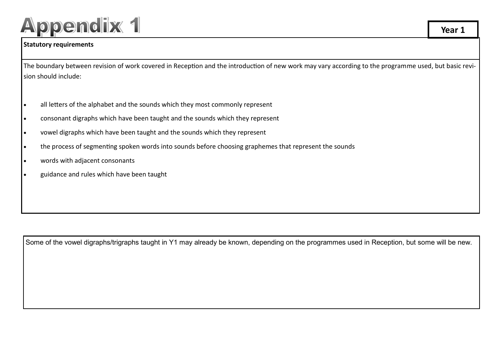# **Appendix 1**

#### **Statutory requirements**

The boundary between revision of work covered in Reception and the introduction of new work may vary according to the programme used, but basic revision should include:

- all letters of the alphabet and the sounds which they most commonly represent
- consonant digraphs which have been taught and the sounds which they represent
- vowel digraphs which have been taught and the sounds which they represent
- the process of segmenting spoken words into sounds before choosing graphemes that represent the sounds
- words with adjacent consonants
- guidance and rules which have been taught

Some of the vowel digraphs/trigraphs taught in Y1 may already be known, depending on the programmes used in Reception, but some will be new.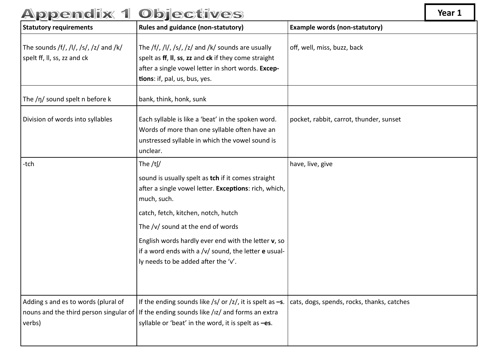| <b>Statutory requirements</b>                                        | <b>Rules and guidance (non-statutory)</b>                                                                                                                                                                                                                                                                                                                                     | <b>Example words (non-statutory)</b>       |
|----------------------------------------------------------------------|-------------------------------------------------------------------------------------------------------------------------------------------------------------------------------------------------------------------------------------------------------------------------------------------------------------------------------------------------------------------------------|--------------------------------------------|
| The sounds /f/, /l/, /s/, /z/ and /k/<br>spelt ff, II, ss, zz and ck | The /f/, /l/, /s/, /z/ and /k/ sounds are usually<br>spelt as ff, II, ss, zz and ck if they come straight<br>after a single vowel letter in short words. Excep-<br>tions: if, pal, us, bus, yes.                                                                                                                                                                              | off, well, miss, buzz, back                |
| The $/\eta$ sound spelt n before k                                   | bank, think, honk, sunk                                                                                                                                                                                                                                                                                                                                                       |                                            |
| Division of words into syllables                                     | Each syllable is like a 'beat' in the spoken word.<br>Words of more than one syllable often have an<br>unstressed syllable in which the vowel sound is<br>unclear.                                                                                                                                                                                                            | pocket, rabbit, carrot, thunder, sunset    |
| -tch                                                                 | The $/t$ [/<br>sound is usually spelt as tch if it comes straight<br>after a single vowel letter. Exceptions: rich, which,<br>much, such.<br>catch, fetch, kitchen, notch, hutch<br>The /v/ sound at the end of words<br>English words hardly ever end with the letter v, so<br>if a word ends with a $/v/$ sound, the letter e usual-<br>ly needs to be added after the 'v'. | have, live, give                           |
| Adding s and es to words (plural of<br>verbs)                        | If the ending sounds like /s/ or /z/, it is spelt as $-s$ .<br>nouns and the third person singular of If the ending sounds like $\frac{1}{2}$ and forms an extra<br>syllable or 'beat' in the word, it is spelt as -es.                                                                                                                                                       | cats, dogs, spends, rocks, thanks, catches |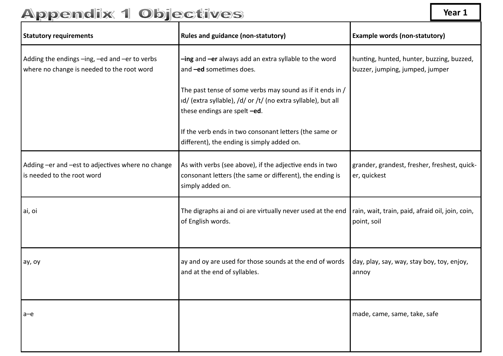| <b>Statutory requirements</b>                                                               | <b>Rules and guidance (non-statutory)</b>                                                                                                                  | <b>Example words (non-statutory)</b>                                         |
|---------------------------------------------------------------------------------------------|------------------------------------------------------------------------------------------------------------------------------------------------------------|------------------------------------------------------------------------------|
| Adding the endings -ing, -ed and -er to verbs<br>where no change is needed to the root word | -ing and -er always add an extra syllable to the word<br>and -ed sometimes does.                                                                           | hunting, hunted, hunter, buzzing, buzzed,<br>buzzer, jumping, jumped, jumper |
|                                                                                             | The past tense of some verbs may sound as if it ends in /<br>id/ (extra syllable), /d/ or /t/ (no extra syllable), but all<br>these endings are spelt -ed. |                                                                              |
|                                                                                             | If the verb ends in two consonant letters (the same or<br>different), the ending is simply added on.                                                       |                                                                              |
| Adding -er and -est to adjectives where no change<br>is needed to the root word             | As with verbs (see above), if the adjective ends in two<br>consonant letters (the same or different), the ending is<br>simply added on.                    | grander, grandest, fresher, freshest, quick-<br>er, quickest                 |
| ai, oi                                                                                      | The digraphs ai and oi are virtually never used at the end<br>of English words.                                                                            | rain, wait, train, paid, afraid oil, join, coin,<br>point, soil              |
| ay, oy                                                                                      | ay and oy are used for those sounds at the end of words<br>and at the end of syllables.                                                                    | day, play, say, way, stay boy, toy, enjoy,<br>annoy                          |
| $a-e$                                                                                       |                                                                                                                                                            | made, came, same, take, safe                                                 |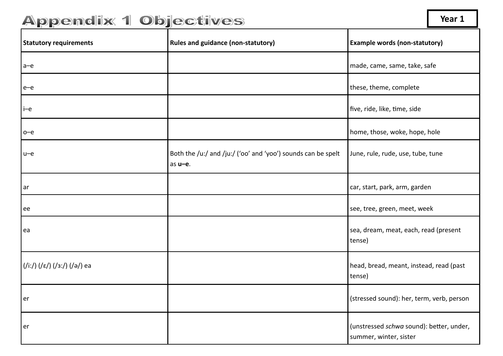| <b>Statutory requirements</b> | <b>Rules and guidance (non-statutory)</b>                               | <b>Example words (non-statutory)</b>                               |
|-------------------------------|-------------------------------------------------------------------------|--------------------------------------------------------------------|
| $a-e$                         |                                                                         | made, came, same, take, safe                                       |
| $e$ - $e$                     |                                                                         | these, theme, complete                                             |
| $i$ -e                        |                                                                         | five, ride, like, time, side                                       |
| $o$ –e                        |                                                                         | home, those, woke, hope, hole                                      |
| $u$ -e                        | Both the /u:/ and /ju:/ ('oo' and 'yoo') sounds can be spelt<br>as u-e. | June, rule, rude, use, tube, tune                                  |
| ar                            |                                                                         | car, start, park, arm, garden                                      |
| ee                            |                                                                         | see, tree, green, meet, week                                       |
| ea                            |                                                                         | sea, dream, meat, each, read (present<br>tense)                    |
| (/i:/) (/ε/) (/з:/) (/ə/) ea  |                                                                         | head, bread, meant, instead, read (past<br>tense)                  |
| er                            |                                                                         | (stressed sound): her, term, verb, person                          |
| er                            |                                                                         | (unstressed schwa sound): better, under,<br>summer, winter, sister |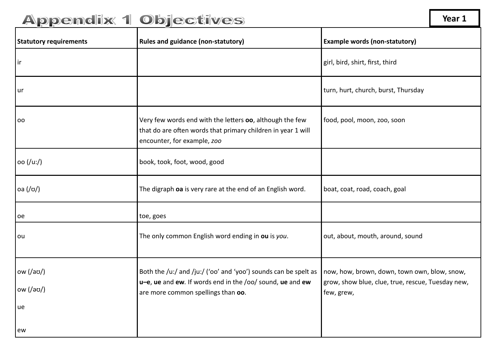| <b>Statutory requirements</b>          | <b>Rules and guidance (non-statutory)</b>                                                                                                                          | <b>Example words (non-statutory)</b>                                                                            |
|----------------------------------------|--------------------------------------------------------------------------------------------------------------------------------------------------------------------|-----------------------------------------------------------------------------------------------------------------|
| ir                                     |                                                                                                                                                                    | girl, bird, shirt, first, third                                                                                 |
| ur                                     |                                                                                                                                                                    | turn, hurt, church, burst, Thursday                                                                             |
| <b>OO</b>                              | Very few words end with the letters oo, although the few<br>that do are often words that primary children in year 1 will<br>encounter, for example, zoo            | food, pool, moon, zoo, soon                                                                                     |
| oo (/u:/)                              | book, took, foot, wood, good                                                                                                                                       |                                                                                                                 |
| oa (1/0)                               | The digraph oa is very rare at the end of an English word.                                                                                                         | boat, coat, road, coach, goal                                                                                   |
| oe                                     | toe, goes                                                                                                                                                          |                                                                                                                 |
| ou                                     | The only common English word ending in ou is you.                                                                                                                  | out, about, mouth, around, sound                                                                                |
| ow $(\sqrt{a} \sigma)$<br>ow (7)<br>ue | Both the /u:/ and /ju:/ ('oo' and 'yoo') sounds can be spelt as<br>u-e, ue and ew. If words end in the /oo/ sound, ue and ew<br>are more common spellings than oo. | now, how, brown, down, town own, blow, snow,<br>grow, show blue, clue, true, rescue, Tuesday new,<br>few, grew, |
| ew                                     |                                                                                                                                                                    |                                                                                                                 |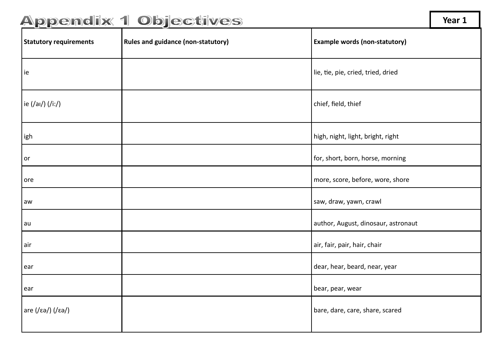Statutory requirements and guidance (non-statutory) **Example words (non-statutory) Example words (non-statutory)** ie lie, tie, pie, cried, tried, dried ie (/aɪ/) (/i:/) chief, field, thief igh high, night, light, bright, right or **form** for, short, born, horse, morning ore **discussed in the more, score, before, wore, shore** more, score, before, wore, shore aw saw, draw, yawn, crawl au author, August, dinosaur, astronaut air air, fair, pair, hair, chair ear dear, hear, beard, near, year ear bear, pear, wear bear, wear bear, wear bear, wear bear, wear bear, wear bear, wear bear, wear bear, wear bear, wear bear, wear bear, wear bear, wear bear, wear bear, wear bear, wear bear, wear bear, we are bear, we are are (/εə/) (/εə/) are (/εə/) bare, dare, care, share, scared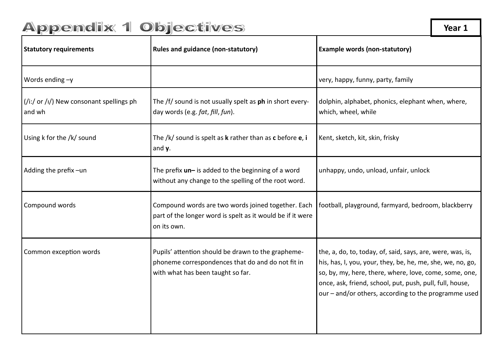| <b>Statutory requirements</b>                      | <b>Rules and guidance (non-statutory)</b>                                                                                                    | <b>Example words (non-statutory)</b>                                                                                                                                                                                                                                                                   |
|----------------------------------------------------|----------------------------------------------------------------------------------------------------------------------------------------------|--------------------------------------------------------------------------------------------------------------------------------------------------------------------------------------------------------------------------------------------------------------------------------------------------------|
| Words ending $-y$                                  |                                                                                                                                              | very, happy, funny, party, family                                                                                                                                                                                                                                                                      |
| (/i:/ or /i/) New consonant spellings ph<br>and wh | The /f/ sound is not usually spelt as ph in short every-<br>day words (e.g. fat, fill, fun).                                                 | dolphin, alphabet, phonics, elephant when, where,<br>which, wheel, while                                                                                                                                                                                                                               |
| Using k for the /k/ sound                          | The $/k/$ sound is spelt as $k$ rather than as $c$ before $e$ , i<br>and $y$ .                                                               | Kent, sketch, kit, skin, frisky                                                                                                                                                                                                                                                                        |
| Adding the prefix-un                               | The prefix $un-$ is added to the beginning of a word<br>without any change to the spelling of the root word.                                 | unhappy, undo, unload, unfair, unlock                                                                                                                                                                                                                                                                  |
| Compound words                                     | Compound words are two words joined together. Each<br>part of the longer word is spelt as it would be if it were<br>on its own.              | football, playground, farmyard, bedroom, blackberry                                                                                                                                                                                                                                                    |
| Common exception words                             | Pupils' attention should be drawn to the grapheme-<br>phoneme correspondences that do and do not fit in<br>with what has been taught so far. | the, a, do, to, today, of, said, says, are, were, was, is,<br>his, has, I, you, your, they, be, he, me, she, we, no, go,<br>so, by, my, here, there, where, love, come, some, one,<br>once, ask, friend, school, put, push, pull, full, house,<br>our – and/or others, according to the programme used |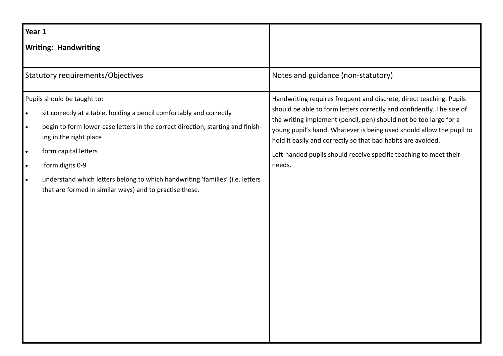| Year 1                                                        |                                                                                                                                                                                                                                                                                                                                                                                                         |                                                                                                                                                                                                                                                                                                                                                                                                                                          |
|---------------------------------------------------------------|---------------------------------------------------------------------------------------------------------------------------------------------------------------------------------------------------------------------------------------------------------------------------------------------------------------------------------------------------------------------------------------------------------|------------------------------------------------------------------------------------------------------------------------------------------------------------------------------------------------------------------------------------------------------------------------------------------------------------------------------------------------------------------------------------------------------------------------------------------|
|                                                               | <b>Writing: Handwriting</b>                                                                                                                                                                                                                                                                                                                                                                             |                                                                                                                                                                                                                                                                                                                                                                                                                                          |
|                                                               | <b>Statutory requirements/Objectives</b>                                                                                                                                                                                                                                                                                                                                                                | Notes and guidance (non-statutory)                                                                                                                                                                                                                                                                                                                                                                                                       |
| $\bullet$<br>$\bullet$<br>$\bullet$<br>$\bullet$<br>$\bullet$ | Pupils should be taught to:<br>sit correctly at a table, holding a pencil comfortably and correctly<br>begin to form lower-case letters in the correct direction, starting and finish-<br>ing in the right place<br>form capital letters<br>form digits 0-9<br>understand which letters belong to which handwriting 'families' (i.e. letters<br>that are formed in similar ways) and to practise these. | Handwriting requires frequent and discrete, direct teaching. Pupils<br>should be able to form letters correctly and confidently. The size of<br>the writing implement (pencil, pen) should not be too large for a<br>young pupil's hand. Whatever is being used should allow the pupil to<br>hold it easily and correctly so that bad habits are avoided.<br>Left-handed pupils should receive specific teaching to meet their<br>needs. |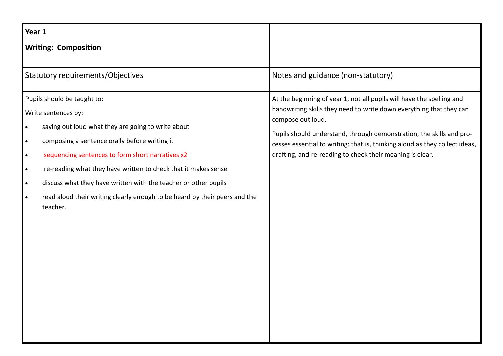| Year 1                                                                                                                                                                                                                                                                                                                                                                                                                          |                                                                            |                                                                                                                                                                                                                                                                                                                                                                                       |
|---------------------------------------------------------------------------------------------------------------------------------------------------------------------------------------------------------------------------------------------------------------------------------------------------------------------------------------------------------------------------------------------------------------------------------|----------------------------------------------------------------------------|---------------------------------------------------------------------------------------------------------------------------------------------------------------------------------------------------------------------------------------------------------------------------------------------------------------------------------------------------------------------------------------|
| <b>Writing: Composition</b>                                                                                                                                                                                                                                                                                                                                                                                                     |                                                                            |                                                                                                                                                                                                                                                                                                                                                                                       |
| <b>Statutory requirements/Objectives</b>                                                                                                                                                                                                                                                                                                                                                                                        |                                                                            | Notes and guidance (non-statutory)                                                                                                                                                                                                                                                                                                                                                    |
| Pupils should be taught to:<br>Write sentences by:<br>saying out loud what they are going to write about<br>$\bullet$<br>composing a sentence orally before writing it<br>$\bullet$<br>sequencing sentences to form short narratives x2<br>$\bullet$<br>re-reading what they have written to check that it makes sense<br>$\bullet$<br>discuss what they have written with the teacher or other pupils<br>$\bullet$<br>teacher. | read aloud their writing clearly enough to be heard by their peers and the | At the beginning of year 1, not all pupils will have the spelling and<br>handwriting skills they need to write down everything that they can<br>compose out loud.<br>Pupils should understand, through demonstration, the skills and pro-<br>cesses essential to writing: that is, thinking aloud as they collect ideas,<br>drafting, and re-reading to check their meaning is clear. |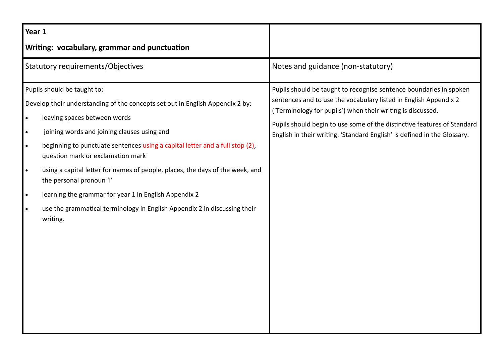| Year 1                                                                     |                                                                                                                                                                                                                                                                                                                                                                                                                                                                                                                                                                                 |                                                                                                                                                                                                                                                                                                                                                              |
|----------------------------------------------------------------------------|---------------------------------------------------------------------------------------------------------------------------------------------------------------------------------------------------------------------------------------------------------------------------------------------------------------------------------------------------------------------------------------------------------------------------------------------------------------------------------------------------------------------------------------------------------------------------------|--------------------------------------------------------------------------------------------------------------------------------------------------------------------------------------------------------------------------------------------------------------------------------------------------------------------------------------------------------------|
| Writing: vocabulary, grammar and punctuation                               |                                                                                                                                                                                                                                                                                                                                                                                                                                                                                                                                                                                 |                                                                                                                                                                                                                                                                                                                                                              |
| <b>Statutory requirements/Objectives</b>                                   |                                                                                                                                                                                                                                                                                                                                                                                                                                                                                                                                                                                 | Notes and guidance (non-statutory)                                                                                                                                                                                                                                                                                                                           |
| $\bullet$<br>$\bullet$<br>$\bullet$<br>$\bullet$<br>$\bullet$<br>$\bullet$ | Pupils should be taught to:<br>Develop their understanding of the concepts set out in English Appendix 2 by:<br>leaving spaces between words<br>joining words and joining clauses using and<br>beginning to punctuate sentences using a capital letter and a full stop (2),<br>question mark or exclamation mark<br>using a capital letter for names of people, places, the days of the week, and<br>the personal pronoun 'I'<br>learning the grammar for year 1 in English Appendix 2<br>use the grammatical terminology in English Appendix 2 in discussing their<br>writing. | Pupils should be taught to recognise sentence boundaries in spoken<br>sentences and to use the vocabulary listed in English Appendix 2<br>('Terminology for pupils') when their writing is discussed.<br>Pupils should begin to use some of the distinctive features of Standard<br>English in their writing. 'Standard English' is defined in the Glossary. |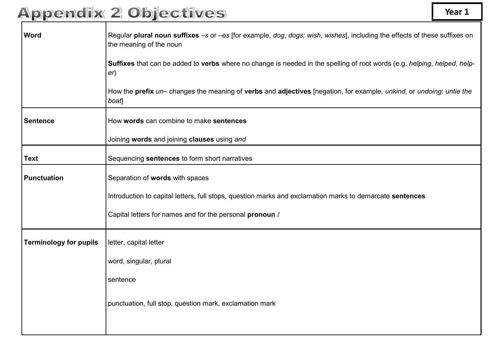| <b>Word</b>                   | Regular plural noun suffixes -s or -es [for example, dog, dogs; wish, wishes], including the effects of these suffixes on<br>the meaning of the noun |  |
|-------------------------------|------------------------------------------------------------------------------------------------------------------------------------------------------|--|
|                               | Suffixes that can be added to verbs where no change is needed in the spelling of root words (e.g. helping, helped, help-<br>er)                      |  |
|                               | How the prefix un– changes the meaning of verbs and adjectives [negation, for example, unkind, or undoing: untie the<br>boat]                        |  |
| Sentence                      | How words can combine to make sentences                                                                                                              |  |
|                               | Joining words and joining clauses using and                                                                                                          |  |
| <b>Text</b>                   | Sequencing sentences to form short narratives                                                                                                        |  |
| <b>Punctuation</b>            | Separation of words with spaces                                                                                                                      |  |
|                               | Introduction to capital letters, full stops, question marks and exclamation marks to demarcate sentences                                             |  |
|                               | Capital letters for names and for the personal pronoun I                                                                                             |  |
| <b>Terminology for pupils</b> | letter, capital letter                                                                                                                               |  |
|                               | word, singular, plural                                                                                                                               |  |
|                               | sentence                                                                                                                                             |  |
|                               | punctuation, full stop, question mark, exclamation mark                                                                                              |  |